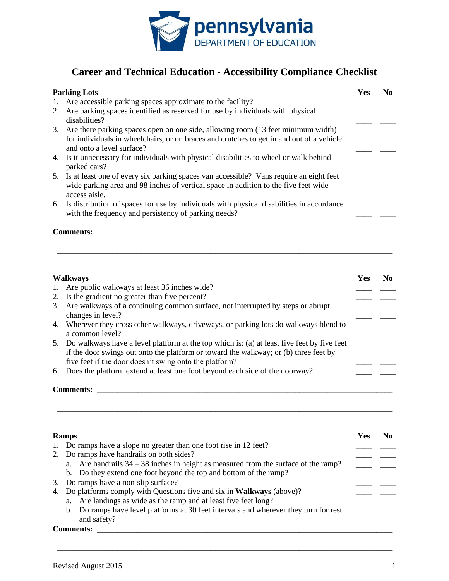

## **Career and Technical Education - Accessibility Compliance Checklist**

|    | <b>Parking Lots</b>                                                                                                                                                                                          | <b>Yes</b> | No. |
|----|--------------------------------------------------------------------------------------------------------------------------------------------------------------------------------------------------------------|------------|-----|
| 1. | Are accessible parking spaces approximate to the facility?                                                                                                                                                   |            |     |
| 2. | Are parking spaces identified as reserved for use by individuals with physical<br>disabilities?                                                                                                              |            |     |
|    | 3. Are there parking spaces open on one side, allowing room (13 feet minimum width)<br>for individuals in wheelchairs, or on braces and crutches to get in and out of a vehicle<br>and onto a level surface? |            |     |
|    | 4. Is it unnecessary for individuals with physical disabilities to wheel or walk behind<br>parked cars?                                                                                                      |            |     |
|    | 5. Is at least one of every six parking spaces van accessible? Vans require an eight feet<br>wide parking area and 98 inches of vertical space in addition to the five feet wide<br>access aisle.            |            |     |
|    | 6. Is distribution of spaces for use by individuals with physical disabilities in accordance<br>with the frequency and persistency of parking needs?                                                         |            |     |
|    | <b>Comments:</b>                                                                                                                                                                                             |            |     |

| <b>Walkways</b> |                                                                                                                                                                                                                                                 | Yes | No. |
|-----------------|-------------------------------------------------------------------------------------------------------------------------------------------------------------------------------------------------------------------------------------------------|-----|-----|
|                 | 1. Are public walkways at least 36 inches wide?                                                                                                                                                                                                 |     |     |
|                 | 2. Is the gradient no greater than five percent?                                                                                                                                                                                                |     |     |
|                 | 3. Are walkways of a continuing common surface, not interrupted by steps or abrupt<br>changes in level?                                                                                                                                         |     |     |
|                 | 4. Wherever they cross other walkways, driveways, or parking lots do walkways blend to<br>a common level?                                                                                                                                       |     |     |
|                 | 5. Do walkways have a level platform at the top which is: (a) at least five feet by five feet<br>if the door swings out onto the platform or toward the walkway; or (b) three feet by<br>five feet if the door doesn't swing onto the platform? |     |     |
|                 | 6. Does the platform extend at least one foot beyond each side of the doorway?                                                                                                                                                                  |     |     |
|                 | <b>Comments:</b>                                                                                                                                                                                                                                |     |     |

\_\_\_\_\_\_\_\_\_\_\_\_\_\_\_\_\_\_\_\_\_\_\_\_\_\_\_\_\_\_\_\_\_\_\_\_\_\_\_\_\_\_\_\_\_\_\_\_\_\_\_\_\_\_\_\_\_\_\_\_\_\_\_\_\_\_\_\_\_\_\_\_\_\_\_\_\_\_\_\_\_\_\_ \_\_\_\_\_\_\_\_\_\_\_\_\_\_\_\_\_\_\_\_\_\_\_\_\_\_\_\_\_\_\_\_\_\_\_\_\_\_\_\_\_\_\_\_\_\_\_\_\_\_\_\_\_\_\_\_\_\_\_\_\_\_\_\_\_\_\_\_\_\_\_\_\_\_\_\_\_\_\_\_\_\_\_

|    | <b>Ramps</b>                                                                          | Yes |  |
|----|---------------------------------------------------------------------------------------|-----|--|
|    | 1. Do ramps have a slope no greater than one foot rise in 12 feet?                    |     |  |
|    | 2. Do ramps have handrails on both sides?                                             |     |  |
|    | a. Are handrails $34 - 38$ inches in height as measured from the surface of the ramp? |     |  |
|    | b. Do they extend one foot beyond the top and bottom of the ramp?                     |     |  |
| 3. | Do ramps have a non-slip surface?                                                     |     |  |
|    | 4. Do platforms comply with Questions five and six in Walkways (above)?               |     |  |
|    | Are landings as wide as the ramp and at least five feet long?<br>а.                   |     |  |
|    | b. Do ramps have level platforms at 30 feet intervals and wherever they turn for rest |     |  |
|    | and safety?                                                                           |     |  |

\_\_\_\_\_\_\_\_\_\_\_\_\_\_\_\_\_\_\_\_\_\_\_\_\_\_\_\_\_\_\_\_\_\_\_\_\_\_\_\_\_\_\_\_\_\_\_\_\_\_\_\_\_\_\_\_\_\_\_\_\_\_\_\_\_\_\_\_\_\_\_\_\_\_\_\_\_\_\_\_\_\_\_ \_\_\_\_\_\_\_\_\_\_\_\_\_\_\_\_\_\_\_\_\_\_\_\_\_\_\_\_\_\_\_\_\_\_\_\_\_\_\_\_\_\_\_\_\_\_\_\_\_\_\_\_\_\_\_\_\_\_\_\_\_\_\_\_\_\_\_\_\_\_\_\_\_\_\_\_\_\_\_\_\_\_\_

## **Comments:** \_\_\_\_\_\_\_\_\_\_\_\_\_\_\_\_\_\_\_\_\_\_\_\_\_\_\_\_\_\_\_\_\_\_\_\_\_\_\_\_\_\_\_\_\_\_\_\_\_\_\_\_\_\_\_\_\_\_\_\_\_\_\_\_\_\_\_\_\_\_\_\_\_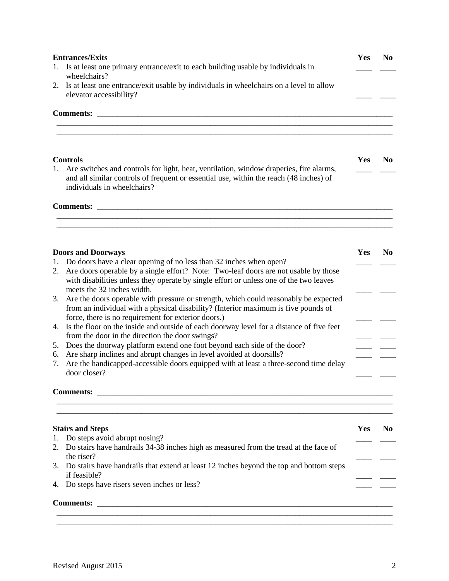|    | <b>Entrances/Exits</b>                                                                                                                                                                                          | Yes | N <sub>0</sub> |
|----|-----------------------------------------------------------------------------------------------------------------------------------------------------------------------------------------------------------------|-----|----------------|
| 1. | Is at least one primary entrance/exit to each building usable by individuals in<br>wheelchairs?                                                                                                                 |     |                |
| 2. | Is at least one entrance/exit usable by individuals in wheelchairs on a level to allow                                                                                                                          |     |                |
|    | elevator accessibility?                                                                                                                                                                                         |     |                |
|    | <b>Comments:</b><br><u> 1980 - Jan James James Barnett, amerikansk politik (d. 1980)</u>                                                                                                                        |     |                |
|    | <b>Controls</b>                                                                                                                                                                                                 | Yes | N <sub>0</sub> |
| 1. | Are switches and controls for light, heat, ventilation, window draperies, fire alarms,<br>and all similar controls of frequent or essential use, within the reach (48 inches) of<br>individuals in wheelchairs? |     |                |
|    |                                                                                                                                                                                                                 |     |                |
|    |                                                                                                                                                                                                                 |     |                |
|    | <b>Doors and Doorways</b>                                                                                                                                                                                       | Yes | N <sub>0</sub> |
|    | 1. Do doors have a clear opening of no less than 32 inches when open?                                                                                                                                           |     |                |
|    | 2. Are doors operable by a single effort? Note: Two-leaf doors are not usable by those<br>with disabilities unless they operate by single effort or unless one of the two leaves<br>meets the 32 inches width.  |     |                |
| 3. | Are the doors operable with pressure or strength, which could reasonably be expected                                                                                                                            |     |                |
|    | from an individual with a physical disability? (Interior maximum is five pounds of                                                                                                                              |     |                |
|    | force, there is no requirement for exterior doors.)                                                                                                                                                             |     |                |
| 4. | Is the floor on the inside and outside of each doorway level for a distance of five feet<br>from the door in the direction the door swings?                                                                     |     |                |
| 5. | Does the doorway platform extend one foot beyond each side of the door?                                                                                                                                         |     |                |
| 6. | Are sharp inclines and abrupt changes in level avoided at doorsills?                                                                                                                                            |     |                |
| 7. | Are the handicapped-accessible doors equipped with at least a three-second time delay<br>door closer?                                                                                                           |     |                |
|    | <b>Comments:</b> comments:                                                                                                                                                                                      |     |                |
|    | <b>Stairs and Steps</b>                                                                                                                                                                                         | Yes | N <sub>0</sub> |
|    | 1. Do steps avoid abrupt nosing?                                                                                                                                                                                |     |                |
|    | 2. Do stairs have handrails 34-38 inches high as measured from the tread at the face of<br>the riser?                                                                                                           |     |                |
|    | 3. Do stairs have handrails that extend at least 12 inches beyond the top and bottom steps<br>if feasible?                                                                                                      |     |                |
|    | 4. Do steps have risers seven inches or less?                                                                                                                                                                   |     |                |
|    |                                                                                                                                                                                                                 |     |                |
|    |                                                                                                                                                                                                                 |     |                |

\_\_\_\_\_\_\_\_\_\_\_\_\_\_\_\_\_\_\_\_\_\_\_\_\_\_\_\_\_\_\_\_\_\_\_\_\_\_\_\_\_\_\_\_\_\_\_\_\_\_\_\_\_\_\_\_\_\_\_\_\_\_\_\_\_\_\_\_\_\_\_\_\_\_\_\_\_\_\_\_\_\_\_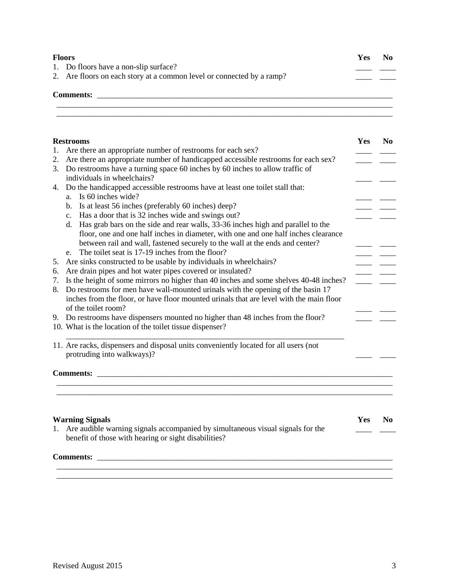| <b>Floors</b><br>1. Do floors have a non-slip surface? |                                                                       | <b>Yes</b> | N <sub>0</sub> |
|--------------------------------------------------------|-----------------------------------------------------------------------|------------|----------------|
|                                                        |                                                                       |            |                |
|                                                        | 2. Are floors on each story at a common level or connected by a ramp? |            |                |
|                                                        | <b>Comments:</b>                                                      |            |                |
|                                                        |                                                                       |            |                |

\_\_\_\_\_\_\_\_\_\_\_\_\_\_\_\_\_\_\_\_\_\_\_\_\_\_\_\_\_\_\_\_\_\_\_\_\_\_\_\_\_\_\_\_\_\_\_\_\_\_\_\_\_\_\_\_\_\_\_\_\_\_\_\_\_\_\_\_\_\_\_\_\_\_\_\_\_\_\_\_\_\_\_

|    | <b>Restrooms</b>                                                                        | Yes | N <sub>0</sub> |
|----|-----------------------------------------------------------------------------------------|-----|----------------|
| 1. | Are there an appropriate number of restrooms for each sex?                              |     |                |
| 2. | Are there an appropriate number of handicapped accessible restrooms for each sex?       |     |                |
| 3. | Do restrooms have a turning space 60 inches by 60 inches to allow traffic of            |     |                |
|    | individuals in wheelchairs?                                                             |     |                |
| 4. | Do the handicapped accessible restrooms have at least one toilet stall that:            |     |                |
|    | Is 60 inches wide?<br>a.                                                                |     |                |
|    | Is at least 56 inches (preferably 60 inches) deep?<br>b.                                |     |                |
|    | Has a door that is 32 inches wide and swings out?<br>$c_{\cdot}$                        |     |                |
|    | Has grab bars on the side and rear walls, 33-36 inches high and parallel to the<br>d.   |     |                |
|    | floor, one and one half inches in diameter, with one and one half inches clearance      |     |                |
|    | between rail and wall, fastened securely to the wall at the ends and center?            |     |                |
|    | The toilet seat is 17-19 inches from the floor?<br>e.                                   |     |                |
| 5. | Are sinks constructed to be usable by individuals in wheelchairs?                       |     |                |
| 6. | Are drain pipes and hot water pipes covered or insulated?                               |     |                |
| 7. | Is the height of some mirrors no higher than 40 inches and some shelves 40-48 inches?   |     |                |
| 8. | Do restrooms for men have wall-mounted urinals with the opening of the basin 17         |     |                |
|    | inches from the floor, or have floor mounted urinals that are level with the main floor |     |                |
|    | of the toilet room?                                                                     |     |                |
|    | 9. Do restrooms have dispensers mounted no higher than 48 inches from the floor?        |     |                |
|    | 10. What is the location of the toilet tissue dispenser?                                |     |                |
|    |                                                                                         |     |                |
|    | 11. Are racks, dispensers and disposal units conveniently located for all users (not    |     |                |
|    | protruding into walkways)?                                                              |     |                |
|    |                                                                                         |     |                |
|    | <b>Comments:</b>                                                                        |     |                |
|    |                                                                                         |     |                |
|    |                                                                                         |     |                |
|    |                                                                                         |     |                |
|    |                                                                                         |     |                |
|    | <b>Warning Signals</b>                                                                  | Yes | N <sub>0</sub> |
| 1. | Are audible warning signals accompanied by simultaneous visual signals for the          |     |                |
|    | benefit of those with hearing or sight disabilities?                                    |     |                |
|    |                                                                                         |     |                |
|    | <b>Comments:</b>                                                                        |     |                |

\_\_\_\_\_\_\_\_\_\_\_\_\_\_\_\_\_\_\_\_\_\_\_\_\_\_\_\_\_\_\_\_\_\_\_\_\_\_\_\_\_\_\_\_\_\_\_\_\_\_\_\_\_\_\_\_\_\_\_\_\_\_\_\_\_\_\_\_\_\_\_\_\_\_\_\_\_\_\_\_\_\_\_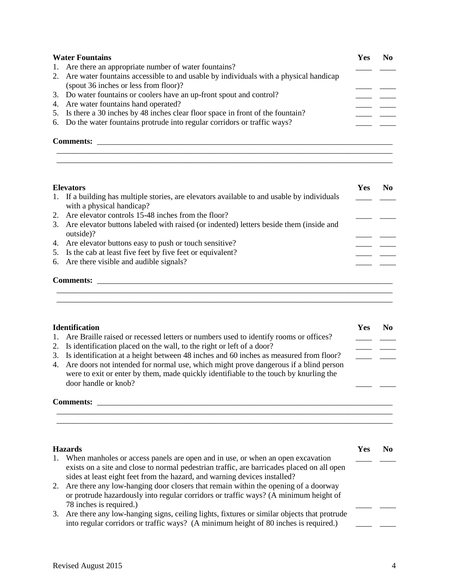| <b>Water Fountains</b> |                                                                                         | <b>Yes</b> |  |
|------------------------|-----------------------------------------------------------------------------------------|------------|--|
|                        | 1. Are there an appropriate number of water fountains?                                  |            |  |
|                        | 2. Are water fountains accessible to and usable by individuals with a physical handicap |            |  |
|                        | (spout 36 inches or less from floor)?                                                   |            |  |
|                        | 3. Do water fountains or coolers have an up-front spout and control?                    |            |  |
|                        | 4. Are water fountains hand operated?                                                   |            |  |
|                        | 5. Is there a 30 inches by 48 inches clear floor space in front of the fountain?        |            |  |
|                        | 6. Do the water fountains protrude into regular corridors or traffic ways?              |            |  |
|                        | <b>Comments:</b>                                                                        |            |  |

\_\_\_\_\_\_\_\_\_\_\_\_\_\_\_\_\_\_\_\_\_\_\_\_\_\_\_\_\_\_\_\_\_\_\_\_\_\_\_\_\_\_\_\_\_\_\_\_\_\_\_\_\_\_\_\_\_\_\_\_\_\_\_\_\_\_\_\_\_\_\_\_\_\_\_\_\_\_\_\_\_\_\_

\_\_\_\_\_\_\_\_\_\_\_\_\_\_\_\_\_\_\_\_\_\_\_\_\_\_\_\_\_\_\_\_\_\_\_\_\_\_\_\_\_\_\_\_\_\_\_\_\_\_\_\_\_\_\_\_\_\_\_\_\_\_\_\_\_\_\_\_\_\_\_\_\_\_\_\_\_\_\_\_\_\_\_

| <b>Elevators</b>                                                                                                         | Yes | No. |
|--------------------------------------------------------------------------------------------------------------------------|-----|-----|
| 1. If a building has multiple stories, are elevators available to and usable by individuals<br>with a physical handicap? |     |     |
| 2. Are elevator controls 15-48 inches from the floor?                                                                    |     |     |
| 3. Are elevator buttons labeled with raised (or indented) letters beside them (inside and<br>outside)?                   |     |     |
| 4. Are elevator buttons easy to push or touch sensitive?                                                                 |     |     |
| 5. Is the cab at least five feet by five feet or equivalent?                                                             |     |     |
| 6. Are there visible and audible signals?                                                                                |     |     |
| <b>Comments:</b>                                                                                                         |     |     |

\_\_\_\_\_\_\_\_\_\_\_\_\_\_\_\_\_\_\_\_\_\_\_\_\_\_\_\_\_\_\_\_\_\_\_\_\_\_\_\_\_\_\_\_\_\_\_\_\_\_\_\_\_\_\_\_\_\_\_\_\_\_\_\_\_\_\_\_\_\_\_\_\_\_\_\_\_\_\_\_\_\_\_

| <b>Identification</b>                                                                                                                                                                                    | Yes | No. |
|----------------------------------------------------------------------------------------------------------------------------------------------------------------------------------------------------------|-----|-----|
| 1. Are Braille raised or recessed letters or numbers used to identify rooms or offices?                                                                                                                  |     |     |
| 2. Is identification placed on the wall, to the right or left of a door?                                                                                                                                 |     |     |
| 3. Is identification at a height between 48 inches and 60 inches as measured from floor?                                                                                                                 |     |     |
| 4. Are doors not intended for normal use, which might prove dangerous if a blind person<br>were to exit or enter by them, made quickly identifiable to the touch by knurling the<br>door handle or knob? |     |     |
| <b>Comments:</b>                                                                                                                                                                                         |     |     |

\_\_\_\_\_\_\_\_\_\_\_\_\_\_\_\_\_\_\_\_\_\_\_\_\_\_\_\_\_\_\_\_\_\_\_\_\_\_\_\_\_\_\_\_\_\_\_\_\_\_\_\_\_\_\_\_\_\_\_\_\_\_\_\_\_\_\_\_\_\_\_\_\_\_\_\_\_\_\_\_\_\_\_ \_\_\_\_\_\_\_\_\_\_\_\_\_\_\_\_\_\_\_\_\_\_\_\_\_\_\_\_\_\_\_\_\_\_\_\_\_\_\_\_\_\_\_\_\_\_\_\_\_\_\_\_\_\_\_\_\_\_\_\_\_\_\_\_\_\_\_\_\_\_\_\_\_\_\_\_\_\_\_\_\_\_\_

|             | <b>Hazards</b>                                                                             | Yes |  |
|-------------|--------------------------------------------------------------------------------------------|-----|--|
| $1_{\cdot}$ | When manholes or access panels are open and in use, or when an open excavation             |     |  |
|             | exists on a site and close to normal pedestrian traffic, are barricades placed on all open |     |  |
|             | sides at least eight feet from the hazard, and warning devices installed?                  |     |  |
| 2.          | Are there any low-hanging door closers that remain within the opening of a doorway         |     |  |
|             | or protrude hazardously into regular corridors or traffic ways? (A minimum height of       |     |  |
|             | 78 inches is required.)                                                                    |     |  |
| 3.          | Are there any low-hanging signs, ceiling lights, fixtures or similar objects that protrude |     |  |
|             | into regular corridors or traffic ways? (A minimum height of 80 inches is required.)       |     |  |